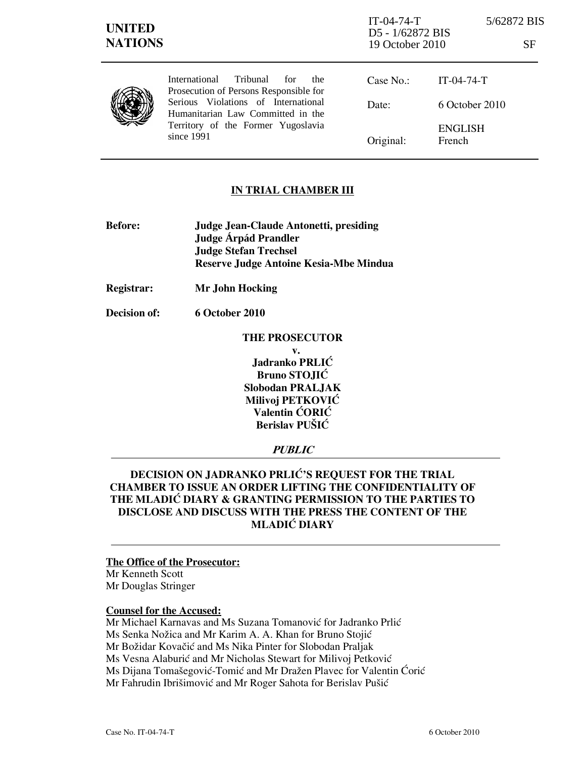| <b>UNITED</b><br><b>NATIONS</b> |                                                                                                                                                                                                                            | $IT-04-74-T$<br>D5 - 1/62872 BIS<br>19 October 2010 |                          | 5/62872 BIS<br>SF |  |
|---------------------------------|----------------------------------------------------------------------------------------------------------------------------------------------------------------------------------------------------------------------------|-----------------------------------------------------|--------------------------|-------------------|--|
|                                 | Tribunal<br><i>International</i><br>for<br>the<br>Prosecution of Persons Responsible for<br>Serious Violations of International<br>Humanitarian Law Committed in the<br>Territory of the Former Yugoslavia<br>since $1991$ | Case No.:                                           | $IT-04-74-T$             |                   |  |
|                                 |                                                                                                                                                                                                                            | Date:                                               | $6$ October 2010         |                   |  |
|                                 |                                                                                                                                                                                                                            | Original:                                           | <b>ENGLISH</b><br>French |                   |  |

### IN TRIAL CHAMBER III

- Before: Judge Jean-Claude Antonetti, presiding Judge **Árpád Prandler**  Judge Stefan Trechsel Reserve Judge Antoine Kesia-Mbe Mindua
- Registrar: Mr John Hocking

Decision of: 6 October 2010

THE PROSECUTOR v.  $J$ adranko PRLI $\acute{C}$ Bruno STOJIĆ Slobodan PRALJAK Milivoj PETKOVIĆ Valentin ĆORIĆ Berislav PUŠIĆ

### **PUBLIC**

## DECISION ON JADRANKO PRLIĆ'S REQUEST FOR THE TRIAL CHAMBER TO ISSUE AN ORDER LIFTING THE CONFIDENTIALITY OF THE MLADIĆ DIARY & GRANTING PERMISSION TO THE PARTIES TO DISCLOSE AND DISCUSS WITH THE PRESS THE CONTENT OF THE **MLADIĆ DIARY**

### The Office of the Prosecutor:

Mr Kenneth Scott Mr Douglas Stringer

#### Counsel for the Accused:

Mr Michael Karnavas and Ms Suzana Tomanović for Jadranko Prlić Ms Senka Nožica and Mr Karim A. A. Khan for Bruno Stojić Mr Božidar Kovačić and Ms Nika Pinter for Slobodan Praljak Ms Vesna Alaburić and Mr Nicholas Stewart for Milivoj Petković Ms Dijana Tomašegović-Tomić and Mr Dražen Plavec for Valentin Ćorić Mr Fahrudin Ibrišimović and Mr Roger Sahota for Berislav Pušić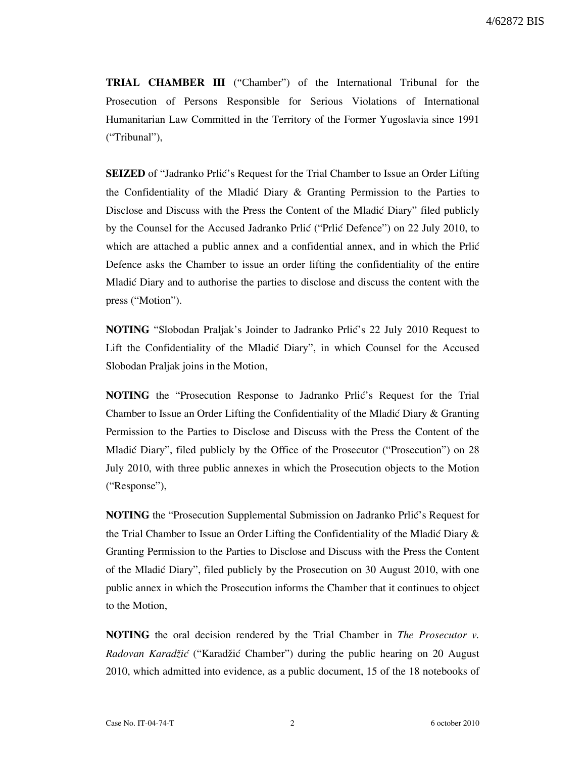TRIAL CHAMBER III ("Chamber") of the International Tribunal for the Prosecution of Persons Responsible for Serious Violations of International Humanitarian Law Committed in the Territory of the Former Yugoslavia since 1991 ("Tribunal"),

**SEIZED** of "Jadranko Prlić's Request for the Trial Chamber to Issue an Order Lifting the Confidentiality of the Mladić Diary  $\&$  Granting Permission to the Parties to Disclose and Discuss with the Press the Content of the Mladić Diary" filed publicly by the Counsel for the Accused Jadranko Prlić ("Prlić Defence") on 22 July 2010, to which are attached a public annex and a confidential annex, and in which the Prlić Defence asks the Chamber to issue an order lifting the confidentiality of the entire Mladić Diary and to authorise the parties to disclose and discuss the content with the press ("Motion").

**NOTING** "Slobodan Praljak's Joinder to Jadranko Prlić's 22 July 2010 Request to Lift the Confidentiality of the Mladic Diary", in which Counsel for the Accused Slobodan Praljak joins in the Motion,

NOTING the "Prosecution Response to Jadranko Prlić's Request for the Trial Chamber to Issue an Order Lifting the Confidentiality of the Mladić Diary  $\&$  Granting Permission to the Parties to Disclose and Discuss with the Press the Content of the Mladić Diary", filed publicly by the Office of the Prosecutor ("Prosecution") on 28 July 2010, with three public annexes in which the Prosecution objects to the Motion ("Response"),

**NOTING** the "Prosecution Supplemental Submission on Jadranko Prlić's Request for the Trial Chamber to Issue an Order Lifting the Confidentiality of the Mladić Diary  $\&$ Granting Permission to the Parties to Disclose and Discuss with the Press the Content of the Mladić Diary", filed publicly by the Prosecution on 30 August 2010, with one public annex in which the Prosecution informs the Chamber that it continues to object to the Motion,

**NOTING** the oral decision rendered by the Trial Chamber in *The Prosecutor v*. Radovan Karadžić ("Karadžić Chamber") during the public hearing on 20 August 2010, which admitted into evidence, as a public document, 15 of the 18 notebooks of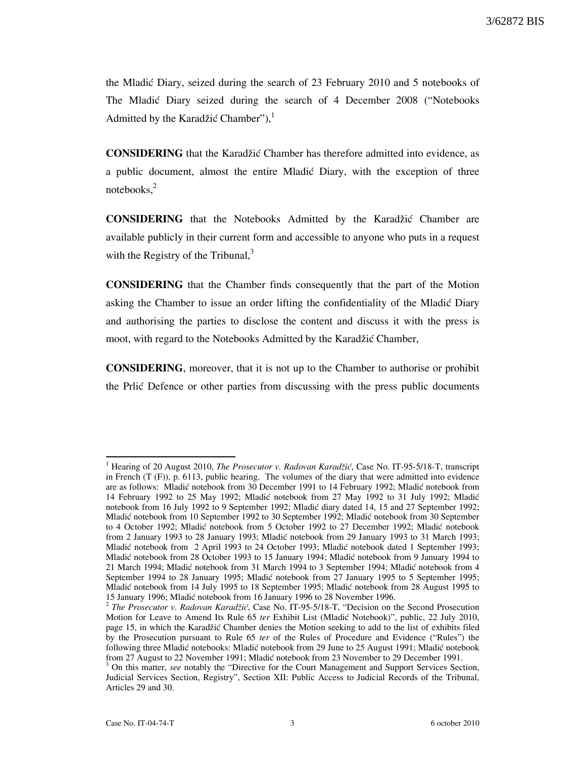the Mladić Diary, seized during the search of 23 February 2010 and 5 notebooks of The Mladic Diary seized during the search of 4 December 2008 ("Notebooks") Admitted by the Karadžić Chamber"), $<sup>1</sup>$ </sup>

**CONSIDERING** that the Karadžić Chamber has therefore admitted into evidence, as a public document, almost the entire Mladić Diary, with the exception of three notebooks, $2$ 

**CONSIDERING** that the Notebooks Admitted by the Karadžić Chamber are available publicly in their current form and accessible to anyone who puts in a request with the Registry of the Tribunal, $\delta$ 

CONSIDERING that the Chamber finds consequently that the part of the Motion asking the Chamber to issue an order lifting the confidentiality of the Mladić Diary and authorising the parties to disclose the content and discuss it with the press is moot, with regard to the Notebooks Admitted by the Karadžić Chamber,

CONSIDERING, moreover, that it is not up to the Chamber to authorise or prohibit the Prlic Defence or other parties from discussing with the press public documents

 $\overline{a}$ 

<sup>&</sup>lt;sup>1</sup> Hearing of 20 August 2010, *The Prosecutor v. Radovan Karadžić*, Case No. IT-95-5/18-T, transcript in French (T (F)), p. 6113, public hearing. The volumes of the diary that were admitted into evidence are as follows: Mladić notebook from 30 December 1991 to 14 February 1992; Mladić notebook from 14 February 1992 to 25 May 1992; Mladić notebook from 27 May 1992 to 31 July 1992; Mladić notebook from 16 July 1992 to 9 September 1992; Mladić diary dated 14, 15 and 27 September 1992; Mladić notebook from 10 September 1992 to 30 September 1992; Mladić notebook from 30 September to 4 October 1992; Mladić notebook from 5 October 1992 to 27 December 1992; Mladić notebook from 2 January 1993 to 28 January 1993; Mladić notebook from 29 January 1993 to 31 March 1993; Mladić notebook from 2 April 1993 to 24 October 1993; Mladić notebook dated 1 September 1993; Mladić notebook from 28 October 1993 to 15 January 1994; Mladić notebook from 9 January 1994 to 21 March 1994; Mladić notebook from 31 March 1994 to 3 September 1994; Mladić notebook from 4 September 1994 to 28 January 1995; Mladić notebook from 27 January 1995 to 5 September 1995; Mladić notebook from 14 July 1995 to 18 September 1995; Mladić notebook from 28 August 1995 to 15 January 1996; Mladić notebook from 16 January 1996 to 28 November 1996.

<sup>&</sup>lt;sup>2</sup> The Prosecutor v. Radovan Karadžić, Case No. IT-95-5/18-T, "Decision on the Second Prosecution Motion for Leave to Amend Its Rule 65 ter Exhibit List (Mladić Notebook)", public, 22 July 2010, page 15, in which the Karadžić Chamber denies the Motion seeking to add to the list of exhibits filed by the Prosecution pursuant to Rule 65 ter of the Rules of Procedure and Evidence ("Rules") the following three Mladić notebooks: Mladić notebook from 29 June to 25 August 1991; Mladić notebook from 27 August to 22 November 1991; Mladić notebook from 23 November to 29 December 1991.

<sup>&</sup>lt;sup>3</sup> On this matter, see notably the "Directive for the Court Management and Support Services Section, Judicial Services Section, Registry", Section XII: Public Access to Judicial Records of the Tribunal, Articles 29 and 30.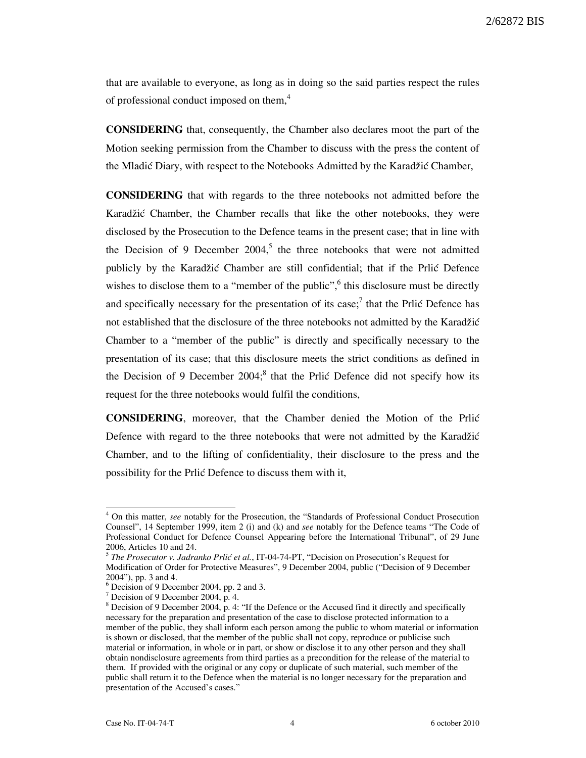2/62872 BIS

that are available to everyone, as long as in doing so the said parties respect the rules of professional conduct imposed on them,<sup>4</sup>

CONSIDERING that, consequently, the Chamber also declares moot the part of the Motion seeking permission from the Chamber to discuss with the press the content of the Mladić Diary, with respect to the Notebooks Admitted by the Karadžić Chamber,

CONSIDERING that with regards to the three notebooks not admitted before the Karadžić Chamber, the Chamber recalls that like the other notebooks, they were disclosed by the Prosecution to the Defence teams in the present case; that in line with the Decision of 9 December 2004,<sup>5</sup> the three notebooks that were not admitted publicly by the Karadžić Chamber are still confidential; that if the Prlić Defence wishes to disclose them to a "member of the public",  $6$  this disclosure must be directly and specifically necessary for the presentation of its case;<sup>7</sup> that the Prlic Defence has not established that the disclosure of the three notebooks not admitted by the Karadžić Chamber to a "member of the public" is directly and specifically necessary to the presentation of its case; that this disclosure meets the strict conditions as defined in the Decision of 9 December  $2004$ ;<sup>8</sup> that the Prlić Defence did not specify how its request for the three notebooks would fulfil the conditions,

CONSIDERING, moreover, that the Chamber denied the Motion of the Prli} Defence with regard to the three notebooks that were not admitted by the Karadžić Chamber, and to the lifting of confidentiality, their disclosure to the press and the possibility for the Prlić Defence to discuss them with it,

 $\overline{a}$ 

<sup>&</sup>lt;sup>4</sup> On this matter, see notably for the Prosecution, the "Standards of Professional Conduct Prosecution Counsel", 14 September 1999, item 2 (i) and (k) and see notably for the Defence teams "The Code of Professional Conduct for Defence Counsel Appearing before the International Tribunal", of 29 June 2006, Articles 10 and 24.

 $<sup>5</sup>$  The Prosecutor v. Jadranko Prlić et al., IT-04-74-PT, "Decision on Prosecution's Request for</sup> Modification of Order for Protective Measures", 9 December 2004, public ("Decision of 9 December 2004"), pp. 3 and 4.

<sup>6</sup> Decision of 9 December 2004, pp. 2 and 3.

<sup>7</sup> Decision of 9 December 2004, p. 4.

 $8$  Decision of 9 December 2004, p. 4: "If the Defence or the Accused find it directly and specifically necessary for the preparation and presentation of the case to disclose protected information to a member of the public, they shall inform each person among the public to whom material or information is shown or disclosed, that the member of the public shall not copy, reproduce or publicise such material or information, in whole or in part, or show or disclose it to any other person and they shall obtain nondisclosure agreements from third parties as a precondition for the release of the material to them. If provided with the original or any copy or duplicate of such material, such member of the public shall return it to the Defence when the material is no longer necessary for the preparation and presentation of the Accused's cases."